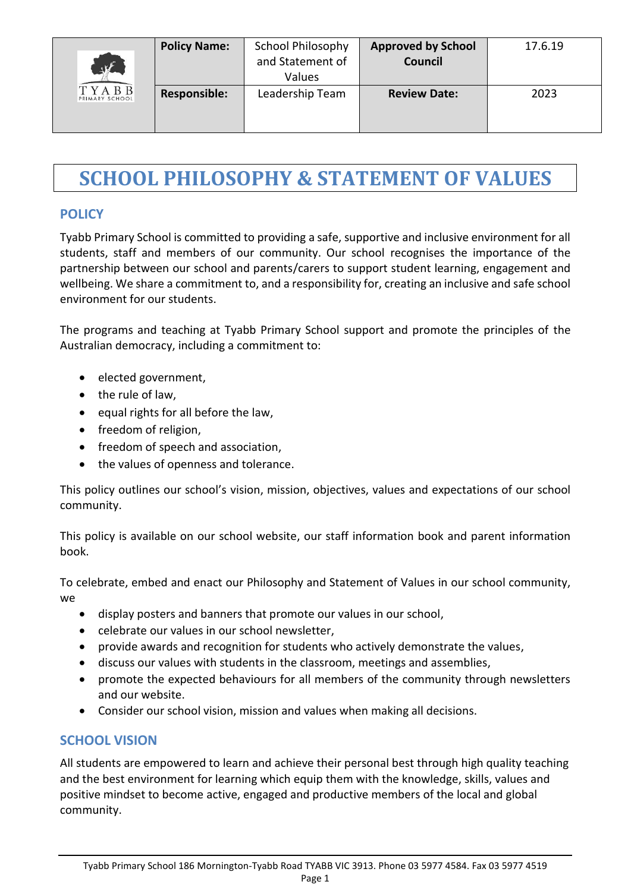| $\sqrt{F}$<br><b>TYABB</b><br>PRIMARY SCHOOL | <b>Policy Name:</b> | <b>School Philosophy</b><br>and Statement of<br>Values | <b>Approved by School</b><br><b>Council</b> | 17.6.19 |
|----------------------------------------------|---------------------|--------------------------------------------------------|---------------------------------------------|---------|
|                                              | <b>Responsible:</b> | Leadership Team                                        | <b>Review Date:</b>                         | 2023    |

## **SCHOOL PHILOSOPHY & STATEMENT OF VALUES**

### **POLICY**

Tyabb Primary School is committed to providing a safe, supportive and inclusive environment for all students, staff and members of our community. Our school recognises the importance of the partnership between our school and parents/carers to support student learning, engagement and wellbeing. We share a commitment to, and a responsibility for, creating an inclusive and safe school environment for our students.

The programs and teaching at Tyabb Primary School support and promote the principles of the Australian democracy, including a commitment to:

- elected government,
- the rule of law,
- equal rights for all before the law,
- freedom of religion,
- freedom of speech and association,
- the values of openness and tolerance.

This policy outlines our school's vision, mission, objectives, values and expectations of our school community.

This policy is available on our school website, our staff information book and parent information book.

To celebrate, embed and enact our Philosophy and Statement of Values in our school community, we

- display posters and banners that promote our values in our school,
- celebrate our values in our school newsletter,
- provide awards and recognition for students who actively demonstrate the values,
- discuss our values with students in the classroom, meetings and assemblies,
- promote the expected behaviours for all members of the community through newsletters and our website.
- Consider our school vision, mission and values when making all decisions.

### **SCHOOL VISION**

All students are empowered to learn and achieve their personal best through high quality teaching and the best environment for learning which equip them with the knowledge, skills, values and positive mindset to become active, engaged and productive members of the local and global community.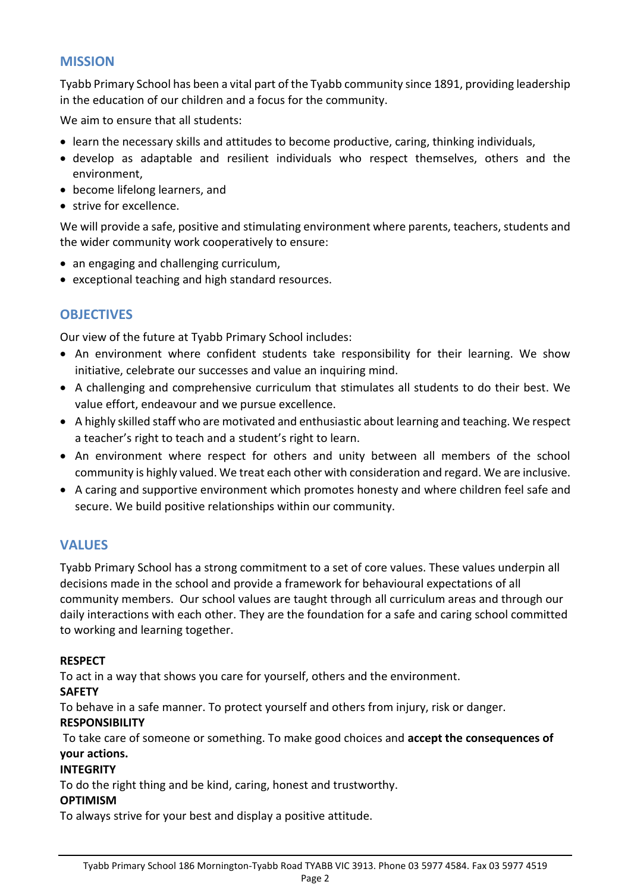### **MISSION**

Tyabb Primary School has been a vital part of the Tyabb community since 1891, providing leadership in the education of our children and a focus for the community.

We aim to ensure that all students:

- learn the necessary skills and attitudes to become productive, caring, thinking individuals,
- develop as adaptable and resilient individuals who respect themselves, others and the environment,
- become lifelong learners, and
- strive for excellence.

We will provide a safe, positive and stimulating environment where parents, teachers, students and the wider community work cooperatively to ensure:

- an engaging and challenging curriculum,
- exceptional teaching and high standard resources.

### **OBJECTIVES**

Our view of the future at Tyabb Primary School includes:

- An environment where confident students take responsibility for their learning. We show initiative, celebrate our successes and value an inquiring mind.
- A challenging and comprehensive curriculum that stimulates all students to do their best. We value effort, endeavour and we pursue excellence.
- A highly skilled staff who are motivated and enthusiastic about learning and teaching. We respect a teacher's right to teach and a student's right to learn.
- An environment where respect for others and unity between all members of the school community is highly valued. We treat each other with consideration and regard. We are inclusive.
- A caring and supportive environment which promotes honesty and where children feel safe and secure. We build positive relationships within our community.

### **VALUES**

Tyabb Primary School has a strong commitment to a set of core values. These values underpin all decisions made in the school and provide a framework for behavioural expectations of all community members. Our school values are taught through all curriculum areas and through our daily interactions with each other. They are the foundation for a safe and caring school committed to working and learning together.

### **RESPECT**

To act in a way that shows you care for yourself, others and the environment.

### **SAFETY**

To behave in a safe manner. To protect yourself and others from injury, risk or danger. **RESPONSIBILITY**

To take care of someone or something. To make good choices and **accept the consequences of your actions.**

### **INTEGRITY**

To do the right thing and be kind, caring, honest and trustworthy.

### **OPTIMISM**

To always strive for your best and display a positive attitude.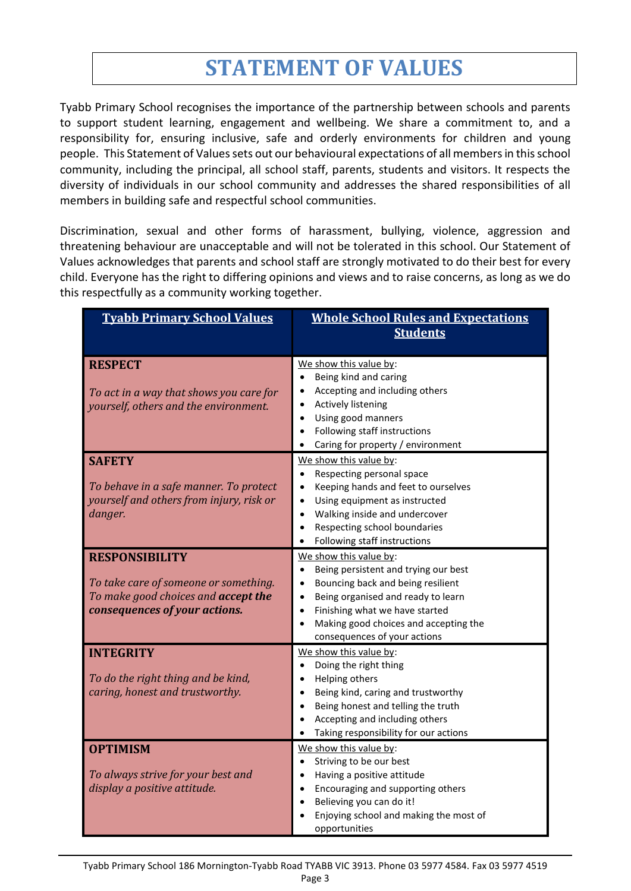# **STATEMENT OF VALUES**

Tyabb Primary School recognises the importance of the partnership between schools and parents to support student learning, engagement and wellbeing. We share a commitment to, and a responsibility for, ensuring inclusive, safe and orderly environments for children and young people. This Statement of Values sets out our behavioural expectations of all members in this school community, including the principal, all school staff, parents, students and visitors. It respects the diversity of individuals in our school community and addresses the shared responsibilities of all members in building safe and respectful school communities.

Discrimination, sexual and other forms of harassment, bullying, violence, aggression and threatening behaviour are unacceptable and will not be tolerated in this school. Our Statement of Values acknowledges that parents and school staff are strongly motivated to do their best for every child. Everyone has the right to differing opinions and views and to raise concerns, as long as we do this respectfully as a community working together.

| <b>Tyabb Primary School Values</b>                                                                                                     | <b>Whole School Rules and Expectations</b><br><b>Students</b>                                                                                                                                                                                                                  |
|----------------------------------------------------------------------------------------------------------------------------------------|--------------------------------------------------------------------------------------------------------------------------------------------------------------------------------------------------------------------------------------------------------------------------------|
| <b>RESPECT</b><br>To act in a way that shows you care for<br>yourself, others and the environment.                                     | We show this value by:<br>Being kind and caring<br>Accepting and including others<br><b>Actively listening</b><br>$\bullet$<br>Using good manners<br>$\bullet$<br>Following staff instructions<br>$\bullet$<br>Caring for property / environment<br>$\bullet$                  |
| <b>SAFETY</b><br>To behave in a safe manner. To protect<br>yourself and others from injury, risk or<br>danger.                         | We show this value by:<br>Respecting personal space<br>$\bullet$<br>Keeping hands and feet to ourselves<br>$\bullet$<br>Using equipment as instructed<br>Walking inside and undercover<br>$\bullet$<br>Respecting school boundaries<br>Following staff instructions            |
| <b>RESPONSIBILITY</b><br>To take care of someone or something.<br>To make good choices and accept the<br>consequences of your actions. | We show this value by:<br>Being persistent and trying our best<br>Bouncing back and being resilient<br>Being organised and ready to learn<br>$\bullet$<br>Finishing what we have started<br>$\bullet$<br>Making good choices and accepting the<br>consequences of your actions |
| <b>INTEGRITY</b><br>To do the right thing and be kind,<br>caring, honest and trustworthy.                                              | We show this value by:<br>Doing the right thing<br>Helping others<br>Being kind, caring and trustworthy<br>Being honest and telling the truth<br>Accepting and including others<br>Taking responsibility for our actions                                                       |
| <b>OPTIMISM</b><br>To always strive for your best and<br>display a positive attitude.                                                  | We show this value by:<br>Striving to be our best<br>Having a positive attitude<br>Encouraging and supporting others<br>$\bullet$<br>Believing you can do it!<br>$\bullet$<br>Enjoying school and making the most of<br>opportunities                                          |

Tyabb Primary School 186 Mornington-Tyabb Road TYABB VIC 3913. Phone 03 5977 4584. Fax 03 5977 4519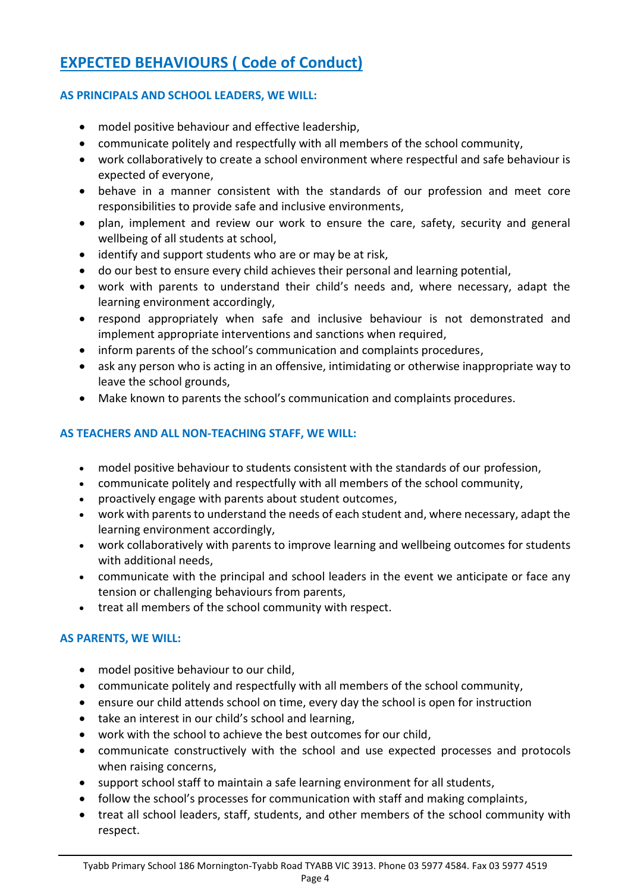### **EXPECTED BEHAVIOURS ( Code of Conduct)**

### **AS PRINCIPALS AND SCHOOL LEADERS, WE WILL:**

- model positive behaviour and effective leadership,
- communicate politely and respectfully with all members of the school community,
- work collaboratively to create a school environment where respectful and safe behaviour is expected of everyone,
- behave in a manner consistent with the standards of our profession and meet core responsibilities to provide safe and inclusive environments,
- plan, implement and review our work to ensure the care, safety, security and general wellbeing of all students at school,
- identify and support students who are or may be at risk,
- do our best to ensure every child achieves their personal and learning potential,
- work with parents to understand their child's needs and, where necessary, adapt the learning environment accordingly,
- respond appropriately when safe and inclusive behaviour is not demonstrated and implement appropriate interventions and sanctions when required,
- inform parents of the school's communication and complaints procedures,
- ask any person who is acting in an offensive, intimidating or otherwise inappropriate way to leave the school grounds,
- Make known to parents the school's communication and complaints procedures.

### **AS TEACHERS AND ALL NON-TEACHING STAFF, WE WILL:**

- model positive behaviour to students consistent with the standards of our profession,
- communicate politely and respectfully with all members of the school community,
- proactively engage with parents about student outcomes,
- work with parents to understand the needs of each student and, where necessary, adapt the learning environment accordingly,
- work collaboratively with parents to improve learning and wellbeing outcomes for students with additional needs,
- communicate with the principal and school leaders in the event we anticipate or face any tension or challenging behaviours from parents,
- treat all members of the school community with respect.

### **AS PARENTS, WE WILL:**

- model positive behaviour to our child,
- communicate politely and respectfully with all members of the school community,
- ensure our child attends school on time, every day the school is open for instruction
- take an interest in our child's school and learning,
- work with the school to achieve the best outcomes for our child,
- communicate constructively with the school and use expected processes and protocols when raising concerns,
- support school staff to maintain a safe learning environment for all students,
- follow the school's processes for communication with staff and making complaints,
- treat all school leaders, staff, students, and other members of the school community with respect.